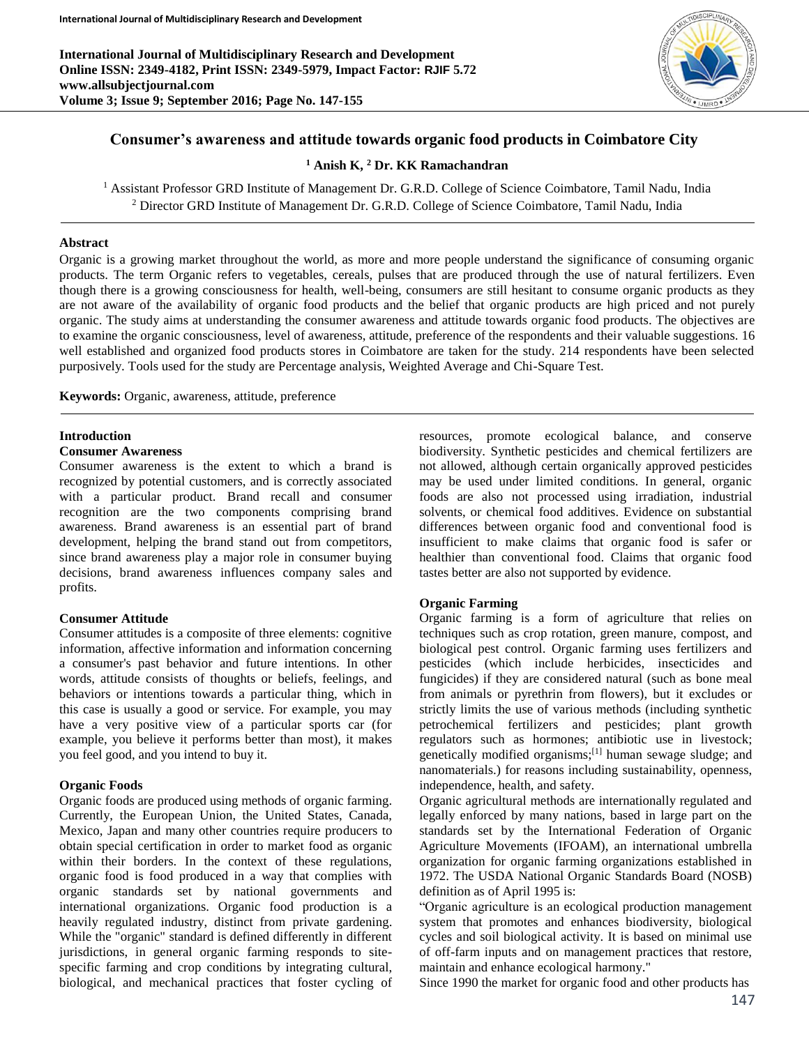**International Journal of Multidisciplinary Research and Development Online ISSN: 2349-4182, Print ISSN: 2349-5979, Impact Factor: RJIF 5.72 www.allsubjectjournal.com Volume 3; Issue 9; September 2016; Page No. 147-155**



# **Consumer's awareness and attitude towards organic food products in Coimbatore City**

**<sup>1</sup> Anish K, <sup>2</sup> Dr. KK Ramachandran**

<sup>1</sup> Assistant Professor GRD Institute of Management Dr. G.R.D. College of Science Coimbatore, Tamil Nadu, India <sup>2</sup> Director GRD Institute of Management Dr. G.R.D. College of Science Coimbatore, Tamil Nadu, India

#### **Abstract**

Organic is a growing market throughout the world, as more and more people understand the significance of consuming organic products. The term Organic refers to vegetables, cereals, pulses that are produced through the use of natural fertilizers. Even though there is a growing consciousness for health, well-being, consumers are still hesitant to consume organic products as they are not aware of the availability of organic food products and the belief that organic products are high priced and not purely organic. The study aims at understanding the consumer awareness and attitude towards organic food products. The objectives are to examine the organic consciousness, level of awareness, attitude, preference of the respondents and their valuable suggestions. 16 well established and organized food products stores in Coimbatore are taken for the study. 214 respondents have been selected purposively. Tools used for the study are Percentage analysis, Weighted Average and Chi-Square Test.

**Keywords:** Organic, awareness, attitude, preference

# **Introduction**

## **Consumer Awareness**

Consumer awareness is the extent to which a brand is recognized by potential customers, and is correctly associated with a particular product. Brand recall and consumer recognition are the two components comprising brand awareness. Brand awareness is an essential part of brand development, helping the brand stand out from competitors, since brand awareness play a major role in consumer buying decisions, brand awareness influences company sales and profits.

#### **Consumer Attitude**

Consumer attitudes is a composite of three elements: cognitive information, affective information and information concerning a consumer's past behavior and future intentions. In other words, attitude consists of thoughts or beliefs, feelings, and behaviors or intentions towards a particular thing, which in this case is usually a good or service. For example, you may have a very positive view of a particular sports car (for example, you believe it performs better than most), it makes you feel good, and you intend to buy it.

# **Organic Foods**

Organic foods are produced using methods of organic farming. Currently, the European Union, the United States, Canada, Mexico, Japan and many other countries require producers to obtain special certification in order to market food as organic within their borders. In the context of these regulations, organic food is food produced in a way that complies with organic standards set by national governments and international organizations. Organic food production is a heavily regulated industry, distinct from private gardening. While the "organic" standard is defined differently in different jurisdictions, in general organic farming responds to sitespecific farming and crop conditions by integrating cultural, biological, and mechanical practices that foster cycling of

resources, promote ecological balance, and conserve biodiversity. Synthetic pesticides and chemical fertilizers are not allowed, although certain organically approved pesticides may be used under limited conditions. In general, organic foods are also not processed using irradiation, industrial solvents, or chemical food additives. Evidence on substantial differences between organic food and conventional food is insufficient to make claims that organic food is safer or healthier than conventional food. Claims that organic food tastes better are also not supported by evidence.

#### **Organic Farming**

Organic farming is a form of agriculture that relies on techniques such as crop rotation, green manure, compost, and biological pest control. Organic farming uses fertilizers and pesticides (which include herbicides, insecticides and fungicides) if they are considered natural (such as bone meal from animals or pyrethrin from flowers), but it excludes or strictly limits the use of various methods (including synthetic petrochemical fertilizers and pesticides; plant growth regulators such as hormones; antibiotic use in livestock; genetically modified organisms;<sup>[1]</sup> human sewage sludge; and nanomaterials.) for reasons including sustainability, openness, independence, health, and safety.

Organic agricultural methods are internationally regulated and legally enforced by many nations, based in large part on the standards set by the International Federation of Organic Agriculture Movements (IFOAM), an international umbrella organization for organic farming organizations established in 1972. The USDA National Organic Standards Board (NOSB) definition as of April 1995 is:

"Organic agriculture is an ecological production management system that promotes and enhances biodiversity, biological cycles and soil biological activity. It is based on minimal use of off-farm inputs and on management practices that restore, maintain and enhance ecological harmony."

Since 1990 the market for organic food and other products has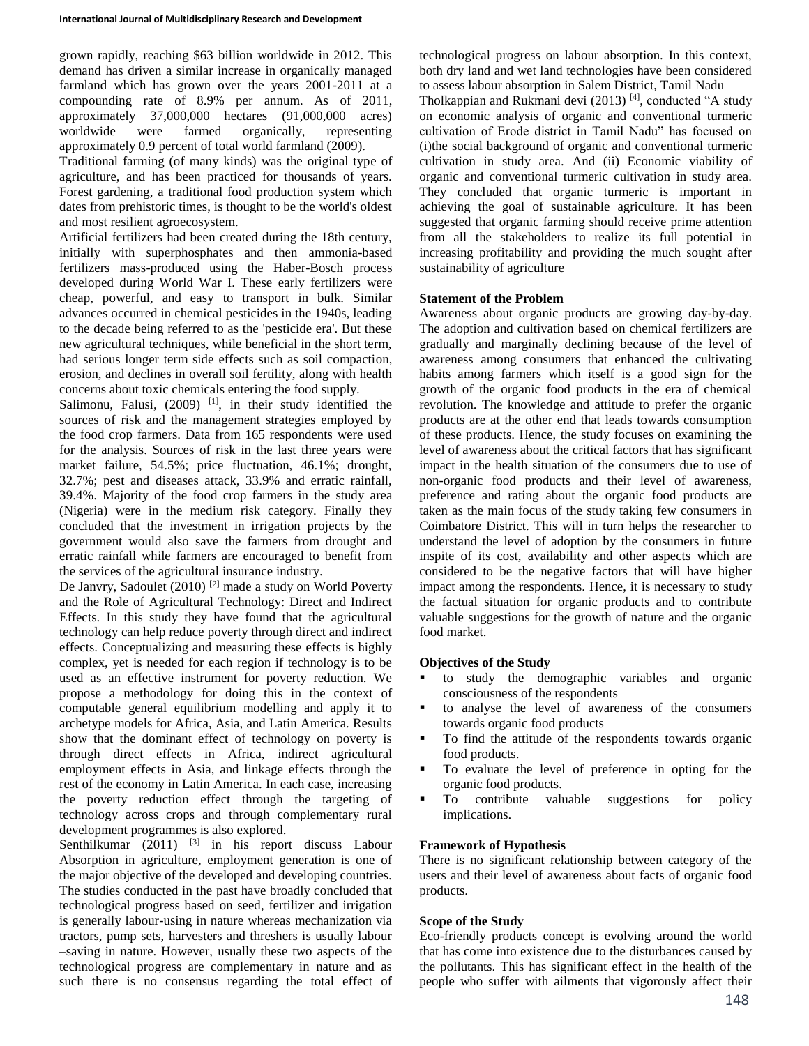grown rapidly, reaching \$63 billion worldwide in 2012. This demand has driven a similar increase in organically managed farmland which has grown over the years 2001-2011 at a compounding rate of 8.9% per annum. As of 2011, approximately 37,000,000 hectares (91,000,000 acres) worldwide were farmed organically, representing approximately 0.9 percent of total world farmland (2009).

Traditional farming (of many kinds) was the original type of agriculture, and has been practiced for thousands of years. Forest gardening, a traditional food production system which dates from prehistoric times, is thought to be the world's oldest and most resilient agroecosystem.

Artificial fertilizers had been created during the 18th century, initially with superphosphates and then ammonia-based fertilizers mass-produced using the Haber-Bosch process developed during World War I. These early fertilizers were cheap, powerful, and easy to transport in bulk. Similar advances occurred in chemical pesticides in the 1940s, leading to the decade being referred to as the 'pesticide era'. But these new agricultural techniques, while beneficial in the short term, had serious longer term side effects such as soil compaction, erosion, and declines in overall soil fertility, along with health concerns about toxic chemicals entering the food supply.

Salimonu, Falusi,  $(2009)$ <sup>[1]</sup>, in their study identified the sources of risk and the management strategies employed by the food crop farmers. Data from 165 respondents were used for the analysis. Sources of risk in the last three years were market failure, 54.5%; price fluctuation, 46.1%; drought, 32.7%; pest and diseases attack, 33.9% and erratic rainfall, 39.4%. Majority of the food crop farmers in the study area (Nigeria) were in the medium risk category. Finally they concluded that the investment in irrigation projects by the government would also save the farmers from drought and erratic rainfall while farmers are encouraged to benefit from the services of the agricultural insurance industry.

De Janvry, Sadoulet (2010)<sup>[2]</sup> made a study on World Poverty and the Role of Agricultural Technology: Direct and Indirect Effects. In this study they have found that the agricultural technology can help reduce poverty through direct and indirect effects. Conceptualizing and measuring these effects is highly complex, yet is needed for each region if technology is to be used as an effective instrument for poverty reduction. We propose a methodology for doing this in the context of computable general equilibrium modelling and apply it to archetype models for Africa, Asia, and Latin America. Results show that the dominant effect of technology on poverty is through direct effects in Africa, indirect agricultural employment effects in Asia, and linkage effects through the rest of the economy in Latin America. In each case, increasing the poverty reduction effect through the targeting of technology across crops and through complementary rural development programmes is also explored.

Senthilkumar  $(2011)$  <sup>[3]</sup> in his report discuss Labour Absorption in agriculture, employment generation is one of the major objective of the developed and developing countries. The studies conducted in the past have broadly concluded that technological progress based on seed, fertilizer and irrigation is generally labour-using in nature whereas mechanization via tractors, pump sets, harvesters and threshers is usually labour –saving in nature. However, usually these two aspects of the technological progress are complementary in nature and as such there is no consensus regarding the total effect of technological progress on labour absorption. In this context, both dry land and wet land technologies have been considered to assess labour absorption in Salem District, Tamil Nadu

Tholkappian and Rukmani devi (2013)<sup>[4]</sup>, conducted "A study on economic analysis of organic and conventional turmeric cultivation of Erode district in Tamil Nadu" has focused on (i)the social background of organic and conventional turmeric cultivation in study area. And (ii) Economic viability of organic and conventional turmeric cultivation in study area. They concluded that organic turmeric is important in achieving the goal of sustainable agriculture. It has been suggested that organic farming should receive prime attention from all the stakeholders to realize its full potential in increasing profitability and providing the much sought after sustainability of agriculture

## **Statement of the Problem**

Awareness about organic products are growing day-by-day. The adoption and cultivation based on chemical fertilizers are gradually and marginally declining because of the level of awareness among consumers that enhanced the cultivating habits among farmers which itself is a good sign for the growth of the organic food products in the era of chemical revolution. The knowledge and attitude to prefer the organic products are at the other end that leads towards consumption of these products. Hence, the study focuses on examining the level of awareness about the critical factors that has significant impact in the health situation of the consumers due to use of non-organic food products and their level of awareness, preference and rating about the organic food products are taken as the main focus of the study taking few consumers in Coimbatore District. This will in turn helps the researcher to understand the level of adoption by the consumers in future inspite of its cost, availability and other aspects which are considered to be the negative factors that will have higher impact among the respondents. Hence, it is necessary to study the factual situation for organic products and to contribute valuable suggestions for the growth of nature and the organic food market.

#### **Objectives of the Study**

- to study the demographic variables and organic consciousness of the respondents
- to analyse the level of awareness of the consumers towards organic food products
- To find the attitude of the respondents towards organic food products.
- To evaluate the level of preference in opting for the organic food products.
- To contribute valuable suggestions for policy implications.

#### **Framework of Hypothesis**

There is no significant relationship between category of the users and their level of awareness about facts of organic food products.

## **Scope of the Study**

Eco-friendly products concept is evolving around the world that has come into existence due to the disturbances caused by the pollutants. This has significant effect in the health of the people who suffer with ailments that vigorously affect their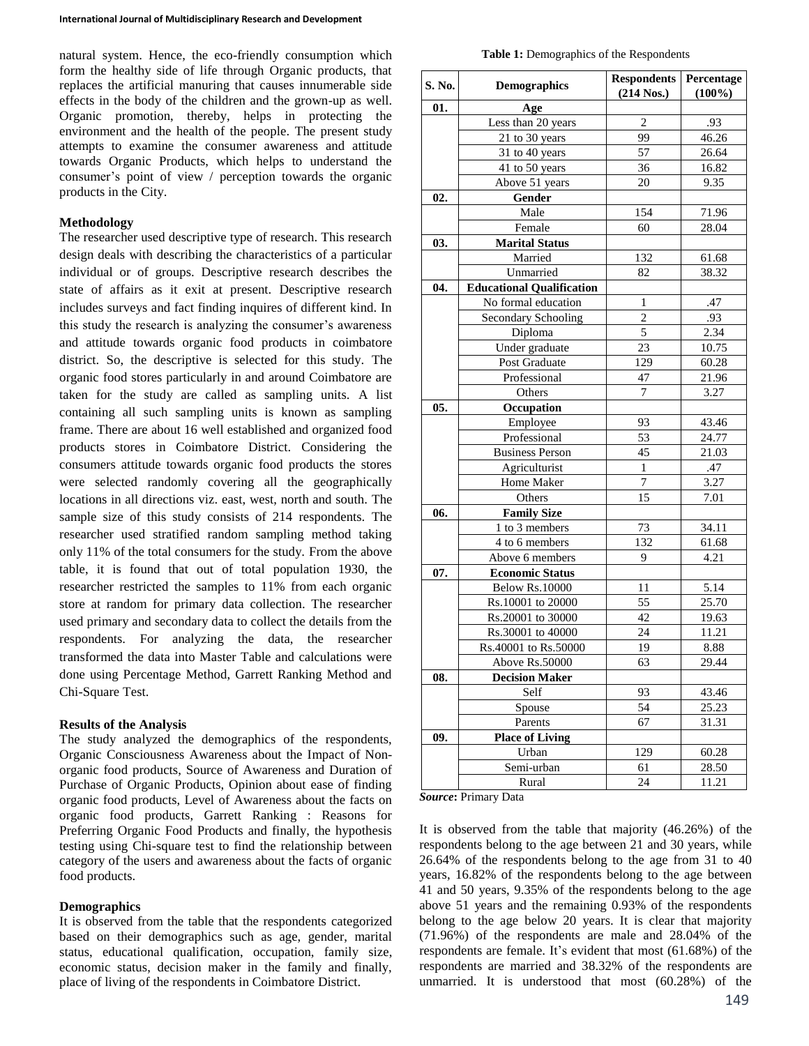natural system. Hence, the eco-friendly consumption which form the healthy side of life through Organic products, that replaces the artificial manuring that causes innumerable side effects in the body of the children and the grown-up as well. Organic promotion, thereby, helps in protecting the environment and the health of the people. The present study attempts to examine the consumer awareness and attitude towards Organic Products, which helps to understand the consumer's point of view / perception towards the organic products in the City.

#### **Methodology**

The researcher used descriptive type of research. This research design deals with describing the characteristics of a particular individual or of groups. Descriptive research describes the state of affairs as it exit at present. Descriptive research includes surveys and fact finding inquires of different kind. In this study the research is analyzing the consumer's awareness and attitude towards organic food products in coimbatore district. So, the descriptive is selected for this study. The organic food stores particularly in and around Coimbatore are taken for the study are called as sampling units. A list containing all such sampling units is known as sampling frame. There are about 16 well established and organized food products stores in Coimbatore District. Considering the consumers attitude towards organic food products the stores were selected randomly covering all the geographically locations in all directions viz. east, west, north and south. The sample size of this study consists of 214 respondents. The researcher used stratified random sampling method taking only 11% of the total consumers for the study. From the above table, it is found that out of total population 1930, the researcher restricted the samples to 11% from each organic store at random for primary data collection. The researcher used primary and secondary data to collect the details from the respondents. For analyzing the data, the researcher transformed the data into Master Table and calculations were done using Percentage Method, Garrett Ranking Method and Chi-Square Test.

#### **Results of the Analysis**

The study analyzed the demographics of the respondents, Organic Consciousness Awareness about the Impact of Nonorganic food products, Source of Awareness and Duration of Purchase of Organic Products, Opinion about ease of finding organic food products, Level of Awareness about the facts on organic food products, Garrett Ranking : Reasons for Preferring Organic Food Products and finally, the hypothesis testing using Chi-square test to find the relationship between category of the users and awareness about the facts of organic food products.

#### **Demographics**

It is observed from the table that the respondents categorized based on their demographics such as age, gender, marital status, educational qualification, occupation, family size, economic status, decision maker in the family and finally, place of living of the respondents in Coimbatore District.

**Table 1:** Demographics of the Respondents

| S. No. | <b>Demographics</b>              | <b>Respondents</b><br>$(214$ Nos.) | Percentage<br>$(100\%)$ |
|--------|----------------------------------|------------------------------------|-------------------------|
| 01.    | Age                              |                                    |                         |
|        | Less than 20 years               | $\overline{2}$                     | .93                     |
|        | 21 to 30 years                   | 99                                 | 46.26                   |
|        | 31 to 40 years                   | 57                                 | 26.64                   |
|        | 41 to 50 years                   | 36                                 | 16.82                   |
|        | Above 51 years                   | 20                                 | 9.35                    |
| 02.    | Gender                           |                                    |                         |
|        | Male                             | 154                                | 71.96                   |
|        | Female                           | 60                                 | 28.04                   |
| 03.    | <b>Marital Status</b>            |                                    |                         |
|        | Married                          | 132                                | 61.68                   |
|        | Unmarried                        | 82                                 | 38.32                   |
| 04.    | <b>Educational Qualification</b> |                                    |                         |
|        | No formal education              | 1                                  | .47                     |
|        | Secondary Schooling              | $\sqrt{2}$                         | .93                     |
|        | Diploma                          | 5                                  | 2.34                    |
|        | Under graduate                   | 23                                 | 10.75                   |
|        | Post Graduate                    | 129                                | 60.28                   |
|        | Professional                     | 47                                 | 21.96                   |
|        | Others                           | 7                                  | 3.27                    |
| 05.    | Occupation                       |                                    |                         |
|        | Employee                         | 93                                 | 43.46                   |
|        | Professional                     | 53                                 | 24.77                   |
|        | <b>Business Person</b>           | 45                                 | 21.03                   |
|        | Agriculturist                    | 1                                  | .47                     |
|        | Home Maker                       | 7                                  | 3.27                    |
|        | Others                           | 15                                 | 7.01                    |
| 06.    | <b>Family Size</b>               |                                    |                         |
|        | 1 to 3 members                   | 73                                 | 34.11                   |
|        | $\overline{4}$ to 6 members      | 132                                | 61.68                   |
|        | Above 6 members                  | 9                                  | 4.21                    |
| 07.    | <b>Economic Status</b>           |                                    |                         |
|        | <b>Below Rs.10000</b>            | 11                                 | 5.14                    |
|        | Rs.10001 to 20000                | 55                                 | 25.70                   |
|        | Rs.20001 to 30000                | 42                                 | 19.63                   |
|        | Rs.30001 to 40000                | 24                                 | 11.21                   |
|        | Rs.40001 to Rs.50000             | 19                                 | 8.88                    |
|        | Above Rs.50000                   | $\overline{63}$                    | 29.44                   |
| 08.    | <b>Decision Maker</b>            |                                    |                         |
|        | Self                             | 93                                 | 43.46                   |
|        | Spouse                           | 54                                 | 25.23                   |
|        | Parents                          | 67                                 | 31.31                   |
| 09.    | <b>Place of Living</b>           |                                    |                         |
|        | Urban                            | 129                                | 60.28                   |
|        | Semi-urban                       | 61                                 | 28.50                   |
|        | Rural                            | 24                                 | 11.21                   |

*Source***:** Primary Data

It is observed from the table that majority (46.26%) of the respondents belong to the age between 21 and 30 years, while 26.64% of the respondents belong to the age from 31 to 40 years, 16.82% of the respondents belong to the age between 41 and 50 years, 9.35% of the respondents belong to the age above 51 years and the remaining 0.93% of the respondents belong to the age below 20 years. It is clear that majority (71.96%) of the respondents are male and 28.04% of the respondents are female. It's evident that most (61.68%) of the respondents are married and 38.32% of the respondents are unmarried. It is understood that most (60.28%) of the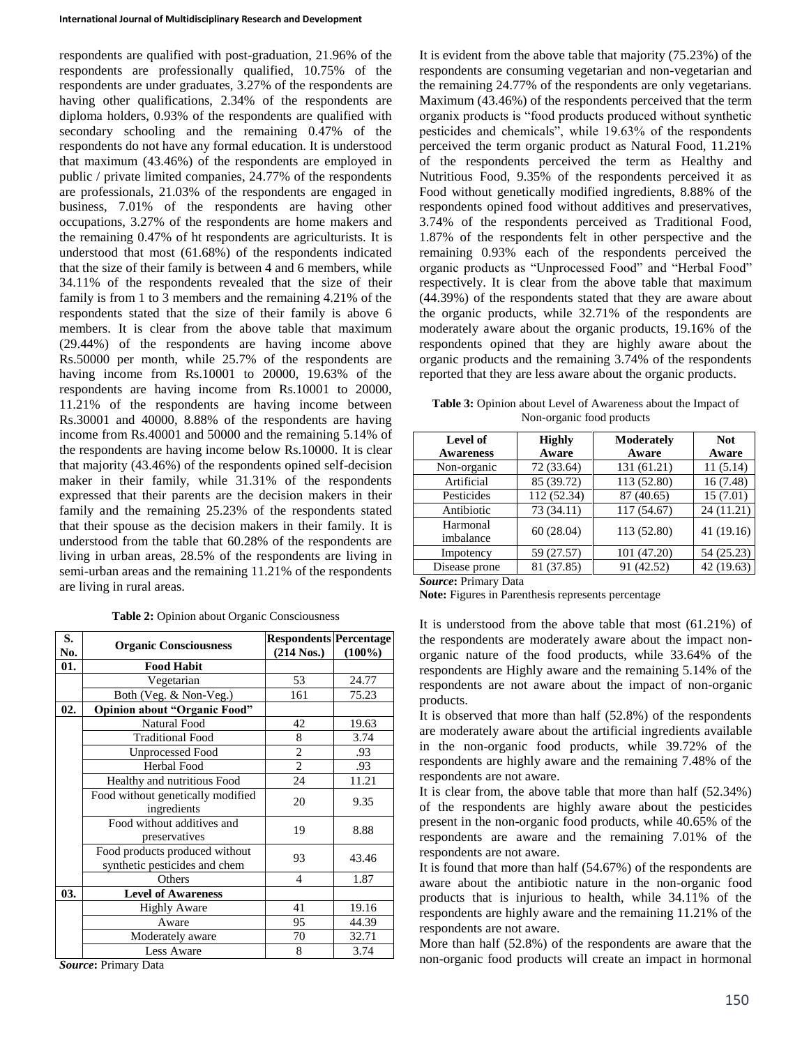respondents are qualified with post-graduation, 21.96% of the respondents are professionally qualified, 10.75% of the respondents are under graduates, 3.27% of the respondents are having other qualifications, 2.34% of the respondents are diploma holders, 0.93% of the respondents are qualified with secondary schooling and the remaining 0.47% of the respondents do not have any formal education. It is understood that maximum (43.46%) of the respondents are employed in public / private limited companies, 24.77% of the respondents are professionals, 21.03% of the respondents are engaged in business, 7.01% of the respondents are having other occupations, 3.27% of the respondents are home makers and the remaining 0.47% of ht respondents are agriculturists. It is understood that most (61.68%) of the respondents indicated that the size of their family is between 4 and 6 members, while 34.11% of the respondents revealed that the size of their family is from 1 to 3 members and the remaining 4.21% of the respondents stated that the size of their family is above 6 members. It is clear from the above table that maximum (29.44%) of the respondents are having income above Rs.50000 per month, while 25.7% of the respondents are having income from Rs.10001 to 20000, 19.63% of the respondents are having income from Rs.10001 to 20000, 11.21% of the respondents are having income between Rs.30001 and 40000, 8.88% of the respondents are having income from Rs.40001 and 50000 and the remaining 5.14% of the respondents are having income below Rs.10000. It is clear that majority (43.46%) of the respondents opined self-decision maker in their family, while 31.31% of the respondents expressed that their parents are the decision makers in their family and the remaining 25.23% of the respondents stated that their spouse as the decision makers in their family. It is understood from the table that 60.28% of the respondents are living in urban areas, 28.5% of the respondents are living in semi-urban areas and the remaining 11.21% of the respondents are living in rural areas.

#### **Table 2:** Opinion about Organic Consciousness

| S.<br>No. | <b>Organic Consciousness</b>                                    | <b>Respondents Percentage</b><br>$(214$ Nos.) | $(100\%)$ |
|-----------|-----------------------------------------------------------------|-----------------------------------------------|-----------|
| 01.       | <b>Food Habit</b>                                               |                                               |           |
|           | Vegetarian                                                      | 53                                            | 24.77     |
|           | Both (Veg. & Non-Veg.)                                          | 161                                           | 75.23     |
| 02.       | <b>Opinion about "Organic Food"</b>                             |                                               |           |
|           | Natural Food                                                    | 42                                            | 19.63     |
|           | <b>Traditional Food</b>                                         | 8                                             | 3.74      |
|           | <b>Unprocessed Food</b>                                         | $\overline{2}$                                | .93       |
|           | Herbal Food                                                     | $\overline{c}$                                | .93       |
|           | Healthy and nutritious Food                                     | 24                                            | 11.21     |
|           | Food without genetically modified<br>ingredients                | 20                                            | 9.35      |
|           | Food without additives and<br>preservatives                     | 19                                            | 8.88      |
|           | Food products produced without<br>synthetic pesticides and chem | 93                                            | 43.46     |
|           | Others                                                          | $\overline{4}$                                | 1.87      |
| 03.       | <b>Level of Awareness</b>                                       |                                               |           |
|           | <b>Highly Aware</b>                                             | 41                                            | 19.16     |
|           | Aware                                                           | 95                                            | 44.39     |
|           | Moderately aware                                                | 70                                            | 32.71     |
|           | <b>Less Aware</b>                                               | 8                                             | 3.74      |

*Source***:** Primary Data

It is evident from the above table that majority (75.23%) of the respondents are consuming vegetarian and non-vegetarian and the remaining 24.77% of the respondents are only vegetarians. Maximum (43.46%) of the respondents perceived that the term organix products is "food products produced without synthetic pesticides and chemicals", while 19.63% of the respondents perceived the term organic product as Natural Food, 11.21% of the respondents perceived the term as Healthy and Nutritious Food, 9.35% of the respondents perceived it as Food without genetically modified ingredients, 8.88% of the respondents opined food without additives and preservatives, 3.74% of the respondents perceived as Traditional Food, 1.87% of the respondents felt in other perspective and the remaining 0.93% each of the respondents perceived the organic products as "Unprocessed Food" and "Herbal Food" respectively. It is clear from the above table that maximum (44.39%) of the respondents stated that they are aware about the organic products, while 32.71% of the respondents are moderately aware about the organic products, 19.16% of the respondents opined that they are highly aware about the organic products and the remaining 3.74% of the respondents reported that they are less aware about the organic products.

**Table 3:** Opinion about Level of Awareness about the Impact of Non-organic food products

| Level of<br><b>Awareness</b> | <b>Highly</b><br>Aware | <b>Moderately</b><br>Aware | <b>Not</b><br>Aware |
|------------------------------|------------------------|----------------------------|---------------------|
| Non-organic                  | 72 (33.64)             | 131 (61.21)                | 11(5.14)            |
| Artificial                   | 85 (39.72)             | 113 (52.80)                | 16 (7.48)           |
| Pesticides                   | 112 (52.34)            | 87 (40.65)                 | 15(7.01)            |
| Antibiotic                   | 73 (34.11)             | 117 (54.67)                | 24 (11.21)          |
| Harmonal<br>imbalance        | 60(28.04)              | 113 (52.80)                | 41(19.16)           |
| Impotency                    | 59 (27.57)             | 101 (47.20)                | 54 (25.23)          |
| Disease prone                | 81 (37.85)             | 91 (42.52)                 | 42 (19.63)          |

*Source***:** Primary Data

**Note:** Figures in Parenthesis represents percentage

It is understood from the above table that most (61.21%) of the respondents are moderately aware about the impact nonorganic nature of the food products, while 33.64% of the respondents are Highly aware and the remaining 5.14% of the respondents are not aware about the impact of non-organic products.

It is observed that more than half (52.8%) of the respondents are moderately aware about the artificial ingredients available in the non-organic food products, while 39.72% of the respondents are highly aware and the remaining 7.48% of the respondents are not aware.

It is clear from, the above table that more than half (52.34%) of the respondents are highly aware about the pesticides present in the non-organic food products, while 40.65% of the respondents are aware and the remaining 7.01% of the respondents are not aware.

It is found that more than half (54.67%) of the respondents are aware about the antibiotic nature in the non-organic food products that is injurious to health, while 34.11% of the respondents are highly aware and the remaining 11.21% of the respondents are not aware.

More than half (52.8%) of the respondents are aware that the non-organic food products will create an impact in hormonal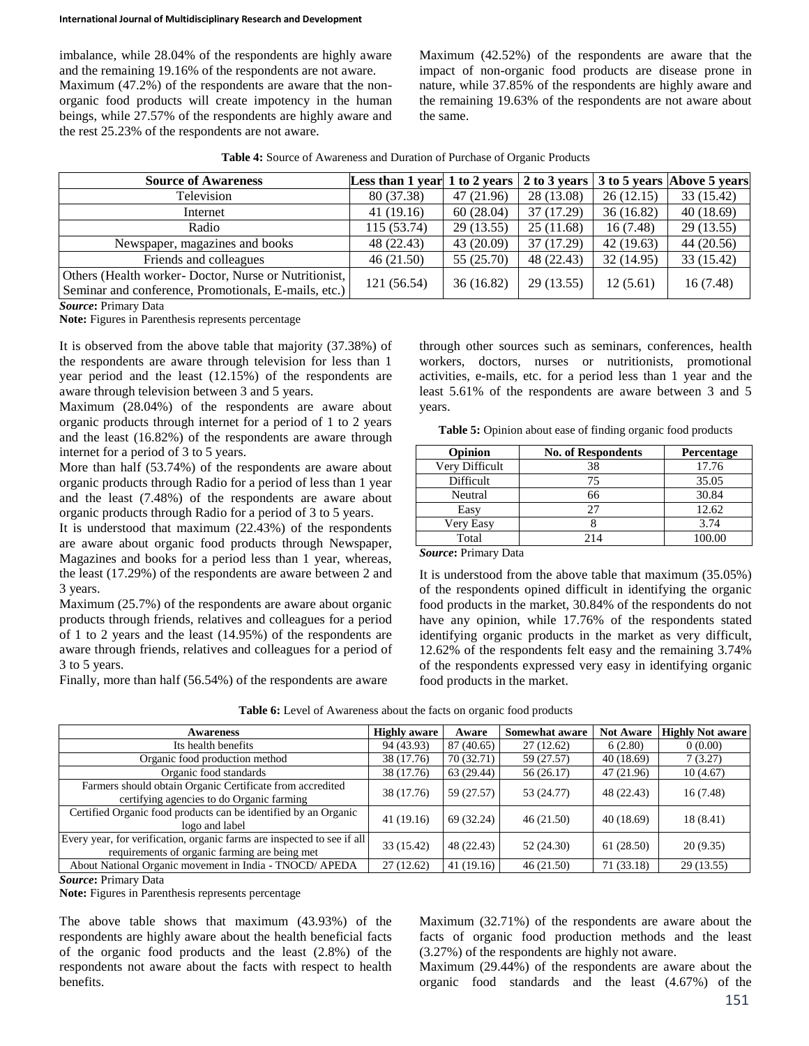imbalance, while 28.04% of the respondents are highly aware and the remaining 19.16% of the respondents are not aware. Maximum (47.2%) of the respondents are aware that the nonorganic food products will create impotency in the human beings, while 27.57% of the respondents are highly aware and the rest 25.23% of the respondents are not aware.

Maximum (42.52%) of the respondents are aware that the impact of non-organic food products are disease prone in nature, while 37.85% of the respondents are highly aware and the remaining 19.63% of the respondents are not aware about the same.

**Table 4:** Source of Awareness and Duration of Purchase of Organic Products

| <b>Source of Awareness</b>                           | Less than 1 year 1 to 2 years $\vert$ 2 to 3 years $\vert$ 3 to 5 years Above 5 years |            |            |           |           |
|------------------------------------------------------|---------------------------------------------------------------------------------------|------------|------------|-----------|-----------|
| Television                                           | 80 (37.38)                                                                            | 47 (21.96) | 28 (13.08) | 26(12.15) | 33(15.42) |
| Internet                                             | 41 (19.16)                                                                            | 60(28.04)  | 37 (17.29) | 36(16.82) | 40(18.69) |
| Radio                                                | 115 (53.74)                                                                           | 29(13.55)  | 25(11.68)  | 16(7.48)  | 29(13.55) |
| Newspaper, magazines and books                       | 48 (22.43)                                                                            | 43 (20.09) | 37(17.29)  | 42(19.63) | 44(20.56) |
| Friends and colleagues                               | 46(21.50)                                                                             | 55 (25.70) | 48 (22.43) | 32(14.95) | 33(15.42) |
| Others (Health worker-Doctor, Nurse or Nutritionist, | 121 (56.54)                                                                           | 36(16.82)  | 29 (13.55) | 12(5.61)  | 16(7.48)  |
| Seminar and conference, Promotionals, E-mails, etc.) |                                                                                       |            |            |           |           |

*Source***:** Primary Data

**Note:** Figures in Parenthesis represents percentage

It is observed from the above table that majority (37.38%) of the respondents are aware through television for less than 1 year period and the least (12.15%) of the respondents are aware through television between 3 and 5 years.

Maximum (28.04%) of the respondents are aware about organic products through internet for a period of 1 to 2 years and the least (16.82%) of the respondents are aware through internet for a period of 3 to 5 years.

More than half (53.74%) of the respondents are aware about organic products through Radio for a period of less than 1 year and the least (7.48%) of the respondents are aware about organic products through Radio for a period of 3 to 5 years.

It is understood that maximum (22.43%) of the respondents are aware about organic food products through Newspaper, Magazines and books for a period less than 1 year, whereas, the least (17.29%) of the respondents are aware between 2 and 3 years.

Maximum (25.7%) of the respondents are aware about organic products through friends, relatives and colleagues for a period of 1 to 2 years and the least (14.95%) of the respondents are aware through friends, relatives and colleagues for a period of 3 to 5 years.

Finally, more than half (56.54%) of the respondents are aware

through other sources such as seminars, conferences, health workers, doctors, nurses or nutritionists, promotional activities, e-mails, etc. for a period less than 1 year and the least 5.61% of the respondents are aware between 3 and 5 years.

Table 5: Opinion about ease of finding organic food products

| <b>Opinion</b> | <b>No. of Respondents</b> | <b>Percentage</b> |
|----------------|---------------------------|-------------------|
| Very Difficult | 38                        | 17.76             |
| Difficult      | 75                        | 35.05             |
| Neutral        | 66                        | 30.84             |
| Easy           |                           | 12.62             |
| Very Easy      |                           | 3.74              |
| Total          | 214                       | 100.00            |

*Source***:** Primary Data

It is understood from the above table that maximum (35.05%) of the respondents opined difficult in identifying the organic food products in the market, 30.84% of the respondents do not have any opinion, while 17.76% of the respondents stated identifying organic products in the market as very difficult, 12.62% of the respondents felt easy and the remaining 3.74% of the respondents expressed very easy in identifying organic food products in the market.

| Awareness                                                                                                                | <b>Highly aware</b> | Aware      | Somewhat aware | <b>Not Aware</b> | <b>Highly Not aware</b> |
|--------------------------------------------------------------------------------------------------------------------------|---------------------|------------|----------------|------------------|-------------------------|
| Its health benefits                                                                                                      | 94 (43.93)          | 87 (40.65) | 27(12.62)      | 6(2.80)          | 0(0.00)                 |
| Organic food production method                                                                                           | 38 (17.76)          | 70(32.71)  | 59 (27.57)     | 40(18.69)        | 7(3.27)                 |
| Organic food standards                                                                                                   | 38 (17.76)          | 63 (29.44) | 56 (26.17)     | 47 (21.96)       | 10(4.67)                |
| Farmers should obtain Organic Certificate from accredited<br>certifying agencies to do Organic farming                   | 38 (17.76)          | 59 (27.57) | 53 (24.77)     | 48 (22.43)       | 16(7.48)                |
| Certified Organic food products can be identified by an Organic<br>logo and label                                        | 41 (19.16)          | 69 (32.24) | 46(21.50)      | 40(18.69)        | 18 (8.41)               |
| Every year, for verification, organic farms are inspected to see if all<br>requirements of organic farming are being met | 33 (15.42)          | 48 (22.43) | 52 (24.30)     | 61 (28.50)       | 20(9.35)                |
| About National Organic movement in India - TNOCD/ APEDA                                                                  | 27(12.62)           | 41(19.16)  | 46(21.50)      | 71 (33.18)       | 29(13.55)               |
|                                                                                                                          |                     |            |                |                  |                         |

Table 6: Level of Awareness about the facts on organic food products

*Source***:** Primary Data

**Note:** Figures in Parenthesis represents percentage

The above table shows that maximum (43.93%) of the respondents are highly aware about the health beneficial facts of the organic food products and the least (2.8%) of the respondents not aware about the facts with respect to health benefits.

Maximum (32.71%) of the respondents are aware about the facts of organic food production methods and the least (3.27%) of the respondents are highly not aware.

Maximum (29.44%) of the respondents are aware about the organic food standards and the least (4.67%) of the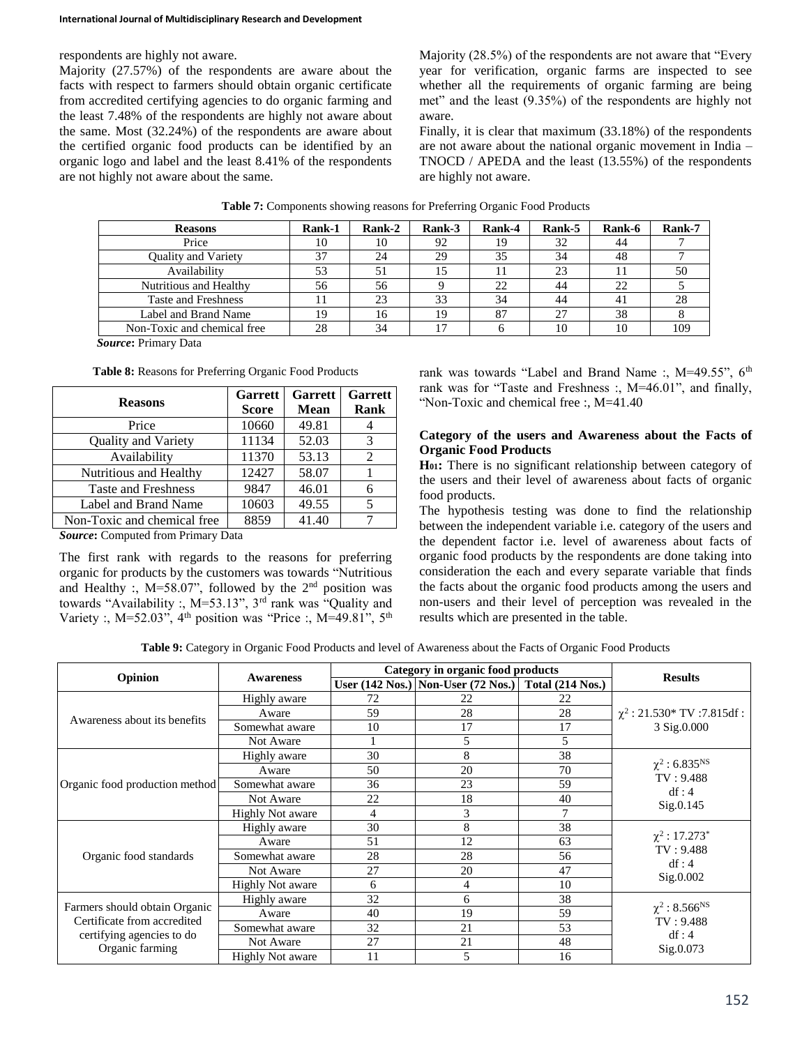respondents are highly not aware.

Majority (27.57%) of the respondents are aware about the facts with respect to farmers should obtain organic certificate from accredited certifying agencies to do organic farming and the least 7.48% of the respondents are highly not aware about the same. Most (32.24%) of the respondents are aware about the certified organic food products can be identified by an organic logo and label and the least 8.41% of the respondents are not highly not aware about the same.

Majority (28.5%) of the respondents are not aware that "Every year for verification, organic farms are inspected to see whether all the requirements of organic farming are being met" and the least (9.35%) of the respondents are highly not aware.

Finally, it is clear that maximum (33.18%) of the respondents are not aware about the national organic movement in India – TNOCD / APEDA and the least (13.55%) of the respondents are highly not aware.

| <b>Reasons</b>              | Rank-1 | Rank-2 | Rank-3 | Rank-4 | Rank-5 | <b>Rank-6</b> | <b>Rank-7</b> |
|-----------------------------|--------|--------|--------|--------|--------|---------------|---------------|
| Price                       | 10     | 10     | 92     |        | 32     | 44            |               |
| Quality and Variety         | 37     | 24     | 29     | 35     | 34     | 48            |               |
| Availability                | 53     | 51     |        |        | 23     |               | 50            |
| Nutritious and Healthy      | 56     | 56     |        | 22     | 44     | 22            |               |
| <b>Taste and Freshness</b>  |        | 23     | 33     | 34     | 44     | 41            | 28            |
| Label and Brand Name        | 19     | 16     | 19     | 87     | 27     | 38            |               |
| Non-Toxic and chemical free | 28     | 34     | 17     |        | 10     | 10            | 109           |
|                             |        |        |        |        |        |               |               |

**Table 7:** Components showing reasons for Preferring Organic Food Products

*Source***:** Primary Data

|  | Table 8: Reasons for Preferring Organic Food Products |  |  |  |  |  |  |
|--|-------------------------------------------------------|--|--|--|--|--|--|
|--|-------------------------------------------------------|--|--|--|--|--|--|

| <b>Reasons</b>              | <b>Garrett</b><br><b>Score</b> | <b>Garrett</b><br><b>Mean</b> | <b>Garrett</b><br>Rank |
|-----------------------------|--------------------------------|-------------------------------|------------------------|
| Price                       | 10660                          | 49.81                         |                        |
| <b>Quality and Variety</b>  | 11134                          | 52.03                         | 3                      |
| Availability                | 11370                          | 53.13                         |                        |
| Nutritious and Healthy      | 12427                          | 58.07                         |                        |
| <b>Taste and Freshness</b>  | 9847                           | 46.01                         |                        |
| Label and Brand Name        | 10603                          | 49.55                         |                        |
| Non-Toxic and chemical free | 8859                           | 41.40                         |                        |

*Source***:** Computed from Primary Data

The first rank with regards to the reasons for preferring organic for products by the customers was towards "Nutritious and Healthy :,  $M=58.07$ ", followed by the  $2<sup>nd</sup>$  position was towards "Availability :,  $M=53.13$ ",  $3<sup>rd</sup>$  rank was "Quality and Variety :, M=52.03",  $4<sup>th</sup>$  position was "Price :, M=49.81",  $5<sup>th</sup>$  rank was towards "Label and Brand Name :, M=49.55", 6<sup>th</sup> rank was for "Taste and Freshness :, M=46.01", and finally, "Non-Toxic and chemical free :, M=41.40

## **Category of the users and Awareness about the Facts of Organic Food Products**

**H01:** There is no significant relationship between category of the users and their level of awareness about facts of organic food products.

The hypothesis testing was done to find the relationship between the independent variable i.e. category of the users and the dependent factor i.e. level of awareness about facts of organic food products by the respondents are done taking into consideration the each and every separate variable that finds the facts about the organic food products among the users and non-users and their level of perception was revealed in the results which are presented in the table.

**Table 9:** Category in Organic Food Products and level of Awareness about the Facts of Organic Food Products

|                                                              |                         |    | Category in organic food products                   |    |                                             |
|--------------------------------------------------------------|-------------------------|----|-----------------------------------------------------|----|---------------------------------------------|
| Opinion                                                      | <b>Awareness</b>        |    | User (142 Nos.) Non-User (72 Nos.) Total (214 Nos.) |    | <b>Results</b>                              |
|                                                              | Highly aware            | 72 | 22                                                  | 22 |                                             |
| Awareness about its benefits                                 | Aware                   | 59 | 28                                                  | 28 | $\gamma^2$ : 21.530* TV:7.815df:            |
|                                                              | Somewhat aware          | 10 | 17                                                  | 17 | 3 Sig.0.000                                 |
|                                                              | Not Aware               |    | 5                                                   | 5  |                                             |
|                                                              | Highly aware            | 30 | 8                                                   | 38 |                                             |
|                                                              | Aware                   | 50 | 20                                                  | 70 | $\chi^2$ : 6.835 <sup>NS</sup><br>TV: 9.488 |
| Organic food production method                               | Somewhat aware          | 36 | 23                                                  | 59 | df:4                                        |
|                                                              | Not Aware               | 22 | 18                                                  | 40 | Sig.0.145                                   |
|                                                              | <b>Highly Not aware</b> | 4  | 3                                                   |    |                                             |
|                                                              | Highly aware            | 30 | 8                                                   | 38 |                                             |
|                                                              | Aware                   | 51 | 12                                                  | 63 | $\chi^2$ : 17.273 <sup>*</sup><br>TV: 9.488 |
| Organic food standards                                       | Somewhat aware          | 28 | 28                                                  | 56 | df:4                                        |
|                                                              | Not Aware               | 27 | 20                                                  | 47 | Sig.0.002                                   |
|                                                              | <b>Highly Not aware</b> | 6  | 4                                                   | 10 |                                             |
|                                                              | Highly aware            | 32 | 6                                                   | 38 |                                             |
| Farmers should obtain Organic<br>Certificate from accredited | Aware                   | 40 | 19                                                  | 59 | $\chi^2$ : 8.566 <sup>NS</sup><br>TV: 9.488 |
|                                                              | Somewhat aware          | 32 | 21                                                  | 53 | df:4                                        |
| certifying agencies to do<br>Organic farming                 | Not Aware               | 27 | 21                                                  | 48 | Sig.0.073                                   |
|                                                              | <b>Highly Not aware</b> | 11 | 5                                                   | 16 |                                             |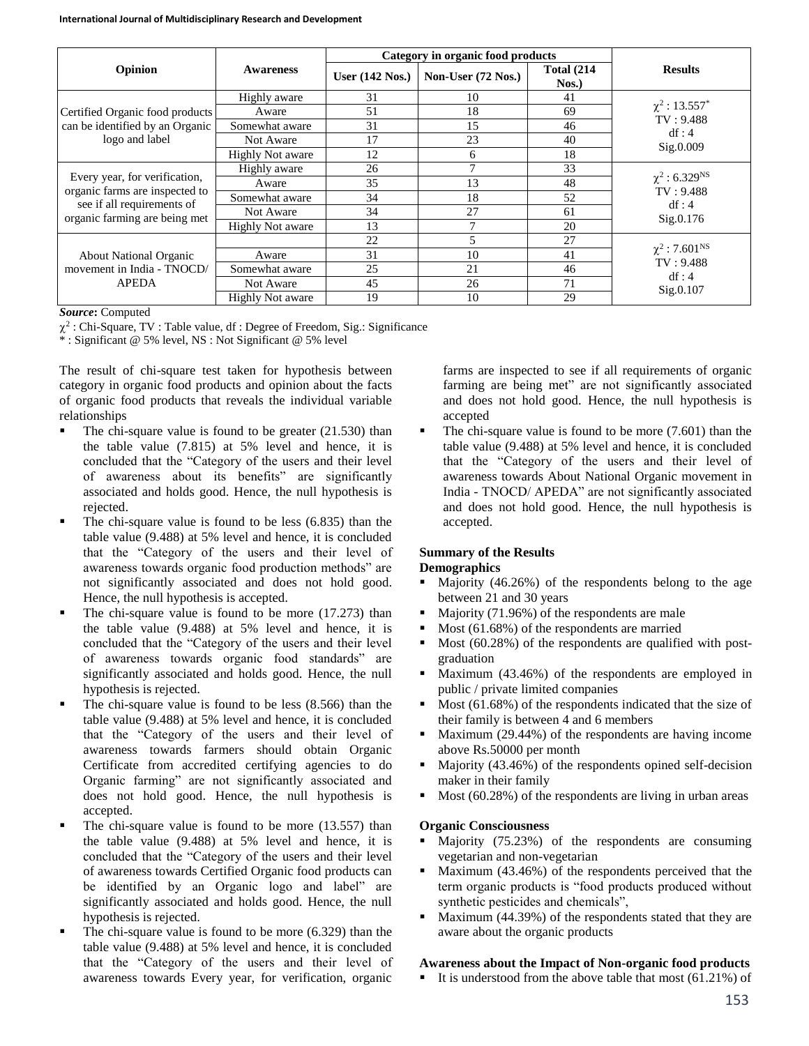|                                                              |                         | Category in organic food products |                    |                                |                                |
|--------------------------------------------------------------|-------------------------|-----------------------------------|--------------------|--------------------------------|--------------------------------|
| Opinion                                                      | <b>Awareness</b>        | User $(142$ Nos.)                 | Non-User (72 Nos.) | <b>Total (214)</b><br>$N$ os.) | <b>Results</b>                 |
|                                                              | Highly aware            | 31                                | 10                 | 41                             |                                |
| Certified Organic food products                              | Aware                   | 51                                | 18                 | 69                             | $\chi^2$ : 13.557 <sup>*</sup> |
| can be identified by an Organic                              | Somewhat aware          | 31                                | 15                 | 46                             | TV: 9.488<br>df:4              |
| logo and label                                               | Not Aware               | 17                                | 23                 | 40                             | Sig.0.009                      |
|                                                              | <b>Highly Not aware</b> | 12                                | 6                  | 18                             |                                |
| Every year, for verification,                                | Highly aware            | 26                                | $\mathcal{I}$      | 33                             |                                |
|                                                              | Aware                   | 35                                | 13                 | 48                             | $\chi^2$ : 6.329 <sup>NS</sup> |
| organic farms are inspected to<br>see if all requirements of | Somewhat aware          | 34                                | 18                 | 52                             | TV: 9.488<br>df:4              |
| organic farming are being met                                | Not Aware               | 34                                | 27                 | 61                             | Sig.0.176                      |
|                                                              | <b>Highly Not aware</b> | 13                                | 7                  | 20                             |                                |
|                                                              |                         | 22                                | 5                  | 27                             |                                |
| <b>About National Organic</b><br>movement in India - TNOCD/  | Aware                   | 31                                | 10                 | 41                             | $\chi^2$ : 7.601 <sup>NS</sup> |
|                                                              | Somewhat aware          | 25                                | 21                 | 46                             | TV: 9.488<br>df:4              |
| <b>APEDA</b>                                                 | Not Aware               | 45                                | 26                 | 71                             | Sig.0.107                      |
|                                                              | <b>Highly Not aware</b> | 19                                | 10                 | 29                             |                                |

#### *Source***:** Computed

 $\chi^2$ : Chi-Square, TV : Table value, df : Degree of Freedom, Sig.: Significance

\* : Significant @ 5% level, NS : Not Significant @ 5% level

The result of chi-square test taken for hypothesis between category in organic food products and opinion about the facts of organic food products that reveals the individual variable relationships

- The chi-square value is found to be greater (21.530) than the table value (7.815) at 5% level and hence, it is concluded that the "Category of the users and their level of awareness about its benefits" are significantly associated and holds good. Hence, the null hypothesis is rejected.
- The chi-square value is found to be less (6.835) than the table value (9.488) at 5% level and hence, it is concluded that the "Category of the users and their level of awareness towards organic food production methods" are not significantly associated and does not hold good. Hence, the null hypothesis is accepted.
- $\blacksquare$  The chi-square value is found to be more (17.273) than the table value (9.488) at 5% level and hence, it is concluded that the "Category of the users and their level of awareness towards organic food standards" are significantly associated and holds good. Hence, the null hypothesis is rejected.
- $\blacksquare$  The chi-square value is found to be less (8.566) than the table value (9.488) at 5% level and hence, it is concluded that the "Category of the users and their level of awareness towards farmers should obtain Organic Certificate from accredited certifying agencies to do Organic farming" are not significantly associated and does not hold good. Hence, the null hypothesis is accepted.
- $\blacksquare$  The chi-square value is found to be more (13.557) than the table value (9.488) at 5% level and hence, it is concluded that the "Category of the users and their level of awareness towards Certified Organic food products can be identified by an Organic logo and label" are significantly associated and holds good. Hence, the null hypothesis is rejected.
- The chi-square value is found to be more (6.329) than the table value (9.488) at 5% level and hence, it is concluded that the "Category of the users and their level of awareness towards Every year, for verification, organic

farms are inspected to see if all requirements of organic farming are being met" are not significantly associated and does not hold good. Hence, the null hypothesis is accepted

 The chi-square value is found to be more (7.601) than the table value (9.488) at 5% level and hence, it is concluded that the "Category of the users and their level of awareness towards About National Organic movement in India - TNOCD/ APEDA" are not significantly associated and does not hold good. Hence, the null hypothesis is accepted.

#### **Summary of the Results Demographics**

- Majority (46.26%) of the respondents belong to the age between 21 and 30 years
- Majority  $(71.96%)$  of the respondents are male
- Most (61.68%) of the respondents are married
- $\blacksquare$  Most (60.28%) of the respondents are qualified with postgraduation
- Maximum (43.46%) of the respondents are employed in public / private limited companies
- Most (61.68%) of the respondents indicated that the size of their family is between 4 and 6 members
- Maximum (29.44%) of the respondents are having income above Rs.50000 per month
- $\blacksquare$  Majority (43.46%) of the respondents opined self-decision maker in their family
- Most (60.28%) of the respondents are living in urban areas

#### **Organic Consciousness**

- Majority (75.23%) of the respondents are consuming vegetarian and non-vegetarian
- Maximum (43.46%) of the respondents perceived that the term organic products is "food products produced without synthetic pesticides and chemicals",
- Maximum  $(44.39%)$  of the respondents stated that they are aware about the organic products

# **Awareness about the Impact of Non-organic food products**

It is understood from the above table that most  $(61.21\%)$  of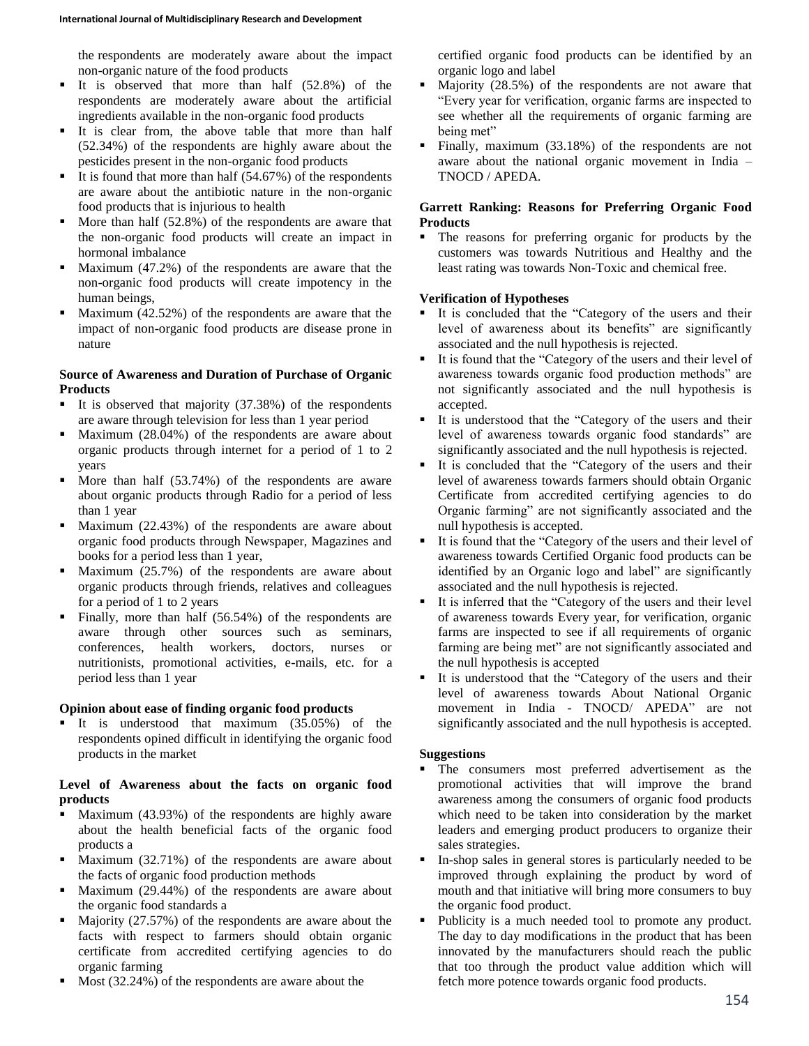the respondents are moderately aware about the impact non-organic nature of the food products

- It is observed that more than half  $(52.8\%)$  of the respondents are moderately aware about the artificial ingredients available in the non-organic food products
- It is clear from, the above table that more than half (52.34%) of the respondents are highly aware about the pesticides present in the non-organic food products
- It is found that more than half  $(54.67%)$  of the respondents are aware about the antibiotic nature in the non-organic food products that is injurious to health
- More than half (52.8%) of the respondents are aware that the non-organic food products will create an impact in hormonal imbalance
- $\blacksquare$  Maximum (47.2%) of the respondents are aware that the non-organic food products will create impotency in the human beings,
- $\blacksquare$  Maximum (42.52%) of the respondents are aware that the impact of non-organic food products are disease prone in nature

# **Source of Awareness and Duration of Purchase of Organic Products**

- It is observed that majority (37.38%) of the respondents are aware through television for less than 1 year period
- $\blacksquare$  Maximum (28.04%) of the respondents are aware about organic products through internet for a period of 1 to 2 years
- $\blacksquare$  More than half (53.74%) of the respondents are aware about organic products through Radio for a period of less than 1 year
- **Maximum (22.43%)** of the respondents are aware about organic food products through Newspaper, Magazines and books for a period less than 1 year,
- Maximum (25.7%) of the respondents are aware about organic products through friends, relatives and colleagues for a period of 1 to 2 years
- Finally, more than half  $(56.54%)$  of the respondents are aware through other sources such as seminars, conferences, health workers, doctors, nurses or nutritionists, promotional activities, e-mails, etc. for a period less than 1 year

# **Opinion about ease of finding organic food products**

 It is understood that maximum (35.05%) of the respondents opined difficult in identifying the organic food products in the market

## **Level of Awareness about the facts on organic food products**

- Maximum (43.93%) of the respondents are highly aware about the health beneficial facts of the organic food products a
- Maximum (32.71%) of the respondents are aware about the facts of organic food production methods
- Maximum (29.44%) of the respondents are aware about the organic food standards a
- Majority (27.57%) of the respondents are aware about the facts with respect to farmers should obtain organic certificate from accredited certifying agencies to do organic farming
- Most (32.24%) of the respondents are aware about the

certified organic food products can be identified by an organic logo and label

- Majority (28.5%) of the respondents are not aware that "Every year for verification, organic farms are inspected to see whether all the requirements of organic farming are being met"
- Finally, maximum (33.18%) of the respondents are not aware about the national organic movement in India – TNOCD / APEDA.

# **Garrett Ranking: Reasons for Preferring Organic Food Products**

 The reasons for preferring organic for products by the customers was towards Nutritious and Healthy and the least rating was towards Non-Toxic and chemical free.

# **Verification of Hypotheses**

- It is concluded that the "Category of the users and their level of awareness about its benefits" are significantly associated and the null hypothesis is rejected.
- It is found that the "Category of the users and their level of awareness towards organic food production methods" are not significantly associated and the null hypothesis is accepted.
- It is understood that the "Category of the users and their level of awareness towards organic food standards" are significantly associated and the null hypothesis is rejected.
- It is concluded that the "Category of the users and their level of awareness towards farmers should obtain Organic Certificate from accredited certifying agencies to do Organic farming" are not significantly associated and the null hypothesis is accepted.
- It is found that the "Category of the users and their level of awareness towards Certified Organic food products can be identified by an Organic logo and label" are significantly associated and the null hypothesis is rejected.
- It is inferred that the "Category of the users and their level of awareness towards Every year, for verification, organic farms are inspected to see if all requirements of organic farming are being met" are not significantly associated and the null hypothesis is accepted
- It is understood that the "Category of the users and their level of awareness towards About National Organic movement in India - TNOCD/ APEDA" are not significantly associated and the null hypothesis is accepted.

# **Suggestions**

- The consumers most preferred advertisement as the promotional activities that will improve the brand awareness among the consumers of organic food products which need to be taken into consideration by the market leaders and emerging product producers to organize their sales strategies.
- In-shop sales in general stores is particularly needed to be improved through explaining the product by word of mouth and that initiative will bring more consumers to buy the organic food product.
- Publicity is a much needed tool to promote any product. The day to day modifications in the product that has been innovated by the manufacturers should reach the public that too through the product value addition which will fetch more potence towards organic food products.